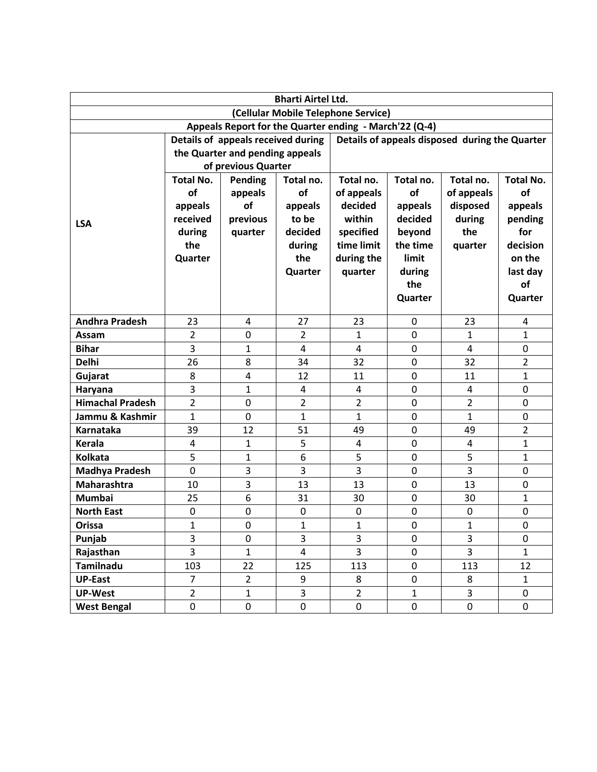| <b>Bharti Airtel Ltd.</b>                              |                                    |                |                |                                                |                   |                |                    |
|--------------------------------------------------------|------------------------------------|----------------|----------------|------------------------------------------------|-------------------|----------------|--------------------|
| (Cellular Mobile Telephone Service)                    |                                    |                |                |                                                |                   |                |                    |
| Appeals Report for the Quarter ending - March'22 (Q-4) |                                    |                |                |                                                |                   |                |                    |
|                                                        | Details of appeals received during |                |                | Details of appeals disposed during the Quarter |                   |                |                    |
|                                                        | the Quarter and pending appeals    |                |                |                                                |                   |                |                    |
|                                                        | of previous Quarter                |                |                |                                                |                   |                |                    |
|                                                        | <b>Total No.</b>                   | Pending        | Total no.      | Total no.                                      | Total no.         | Total no.      | <b>Total No.</b>   |
|                                                        | of                                 | appeals        | of             | of appeals                                     | of                | of appeals     | of                 |
|                                                        | appeals                            | of             | appeals        | decided                                        | appeals           | disposed       | appeals            |
| <b>LSA</b>                                             | received                           | previous       | to be          | within                                         | decided           | during         | pending            |
|                                                        | during                             | quarter        | decided        | specified                                      | beyond            | the            | for                |
|                                                        | the                                |                | during<br>the  | time limit                                     | the time<br>limit | quarter        | decision<br>on the |
|                                                        | Quarter                            |                | Quarter        | during the<br>quarter                          | during            |                | last day           |
|                                                        |                                    |                |                |                                                | the               |                | of                 |
|                                                        |                                    |                |                |                                                | Quarter           |                | Quarter            |
|                                                        |                                    |                |                |                                                |                   |                |                    |
| <b>Andhra Pradesh</b>                                  | 23                                 | 4              | 27             | 23                                             | 0                 | 23             | 4                  |
| Assam                                                  | 2                                  | 0              | $\overline{2}$ | 1                                              | 0                 | 1              | $\mathbf{1}$       |
| <b>Bihar</b>                                           | 3                                  | $\mathbf{1}$   | 4              | 4                                              | 0                 | 4              | $\pmb{0}$          |
| <b>Delhi</b>                                           | 26                                 | 8              | 34             | 32                                             | 0                 | 32             | $\overline{2}$     |
| Gujarat                                                | 8                                  | 4              | 12             | 11                                             | 0                 | 11             | $\mathbf{1}$       |
| Haryana                                                | 3                                  | $\mathbf{1}$   | 4              | 4                                              | 0                 | 4              | $\pmb{0}$          |
| <b>Himachal Pradesh</b>                                | $\overline{2}$                     | 0              | $\overline{2}$ | $\overline{2}$                                 | $\mathbf 0$       | 2              | 0                  |
| Jammu & Kashmir                                        | 1                                  | $\mathbf 0$    | $\mathbf{1}$   | 1                                              | 0                 | 1              | $\pmb{0}$          |
| Karnataka                                              | 39                                 | 12             | 51             | 49                                             | 0                 | 49             | $\overline{2}$     |
| <b>Kerala</b>                                          | 4                                  | 1              | 5              | $\overline{4}$                                 | $\mathbf 0$       | $\overline{4}$ | $\mathbf{1}$       |
| <b>Kolkata</b>                                         | 5                                  | 1              | 6              | 5                                              | 0                 | 5              | $\mathbf{1}$       |
| <b>Madhya Pradesh</b>                                  | $\mathbf 0$                        | 3              | 3              | $\overline{3}$                                 | 0                 | 3              | 0                  |
| Maharashtra                                            | 10                                 | 3              | 13             | 13                                             | 0                 | 13             | $\pmb{0}$          |
| <b>Mumbai</b>                                          | 25                                 | 6              | 31             | 30                                             | 0                 | 30             | $\mathbf{1}$       |
| <b>North East</b>                                      | 0                                  | $\mathbf 0$    | 0              | 0                                              | 0                 | $\pmb{0}$      | $\pmb{0}$          |
| Orissa                                                 | $\mathbf 1$                        | $\overline{0}$ | $\mathbf{1}$   | 1                                              | $\pmb{0}$         | $\mathbf{1}$   | $\mathbf 0$        |
| Punjab                                                 | $\overline{3}$                     | 0              | $\overline{3}$ | $\overline{3}$                                 | 0                 | 3              | 0                  |
| Rajasthan                                              | $\overline{\mathbf{3}}$            | $\mathbf 1$    | 4              | 3                                              | $\pmb{0}$         | 3              | $\mathbf{1}$       |
| Tamilnadu                                              | 103                                | 22             | 125            | 113                                            | 0                 | 113            | 12                 |
| <b>UP-East</b>                                         | $\overline{7}$                     | $\overline{2}$ | 9              | 8                                              | 0                 | 8              | $\mathbf{1}$       |
| <b>UP-West</b>                                         | $\overline{2}$                     | $\mathbf{1}$   | $\overline{3}$ | $\overline{2}$                                 | $\mathbf{1}$      | 3              | 0                  |
| <b>West Bengal</b>                                     | $\pmb{0}$                          | 0              | $\pmb{0}$      | 0                                              | 0                 | 0              | 0                  |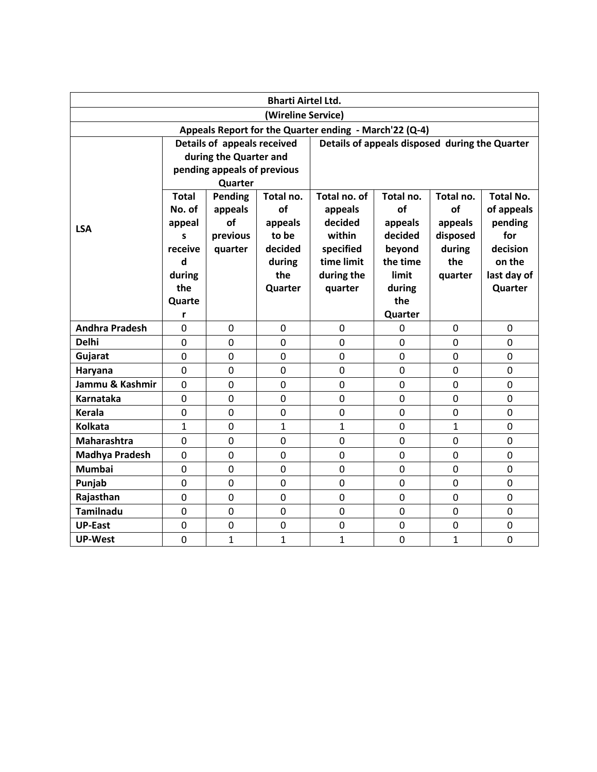| <b>Bharti Airtel Ltd.</b>                              |                                                                               |                             |                |                |                |              |                  |  |  |
|--------------------------------------------------------|-------------------------------------------------------------------------------|-----------------------------|----------------|----------------|----------------|--------------|------------------|--|--|
| (Wireline Service)                                     |                                                                               |                             |                |                |                |              |                  |  |  |
| Appeals Report for the Quarter ending - March'22 (Q-4) |                                                                               |                             |                |                |                |              |                  |  |  |
|                                                        | Details of appeals received<br>Details of appeals disposed during the Quarter |                             |                |                |                |              |                  |  |  |
|                                                        |                                                                               | during the Quarter and      |                |                |                |              |                  |  |  |
|                                                        |                                                                               | pending appeals of previous |                |                |                |              |                  |  |  |
|                                                        | Quarter                                                                       |                             |                |                |                |              |                  |  |  |
|                                                        | <b>Total</b>                                                                  | Pending                     | Total no.      | Total no. of   | Total no.      | Total no.    | <b>Total No.</b> |  |  |
|                                                        | No. of                                                                        | appeals                     | of             | appeals        | of             | of           | of appeals       |  |  |
| <b>LSA</b>                                             | appeal                                                                        | of                          | appeals        | decided        | appeals        | appeals      | pending          |  |  |
|                                                        | S                                                                             | previous                    | to be          | within         | decided        | disposed     | for              |  |  |
|                                                        | receive                                                                       | quarter                     | decided        | specified      | beyond         | during       | decision         |  |  |
|                                                        | d                                                                             |                             | during         | time limit     | the time       | the          | on the           |  |  |
|                                                        | during                                                                        |                             | the            | during the     | limit          | quarter      | last day of      |  |  |
|                                                        | the                                                                           |                             | Quarter        | quarter        | during         |              | Quarter          |  |  |
|                                                        | Quarte                                                                        |                             |                |                | the            |              |                  |  |  |
|                                                        | r                                                                             |                             |                |                | Quarter        |              |                  |  |  |
| <b>Andhra Pradesh</b>                                  | 0                                                                             | 0                           | 0              | $\mathbf 0$    | 0              | 0            | 0                |  |  |
| <b>Delhi</b>                                           | $\overline{0}$                                                                | $\overline{0}$              | $\overline{0}$ | $\Omega$       | 0              | 0            | 0                |  |  |
| Gujarat                                                | 0                                                                             | 0                           | $\mathbf 0$    | $\overline{0}$ | 0              | $\mathbf 0$  | 0                |  |  |
| Haryana                                                | 0                                                                             | $\overline{0}$              | $\mathbf 0$    | $\mathbf 0$    | 0              | $\mathbf 0$  | 0                |  |  |
| Jammu & Kashmir                                        | $\overline{0}$                                                                | $\overline{0}$              | 0              | $\overline{0}$ | 0              | $\mathbf 0$  | 0                |  |  |
| <b>Karnataka</b>                                       | $\mathbf 0$                                                                   | $\overline{0}$              | $\mathbf 0$    | $\overline{0}$ | 0              | $\mathbf 0$  | 0                |  |  |
| Kerala                                                 | $\mathbf 0$                                                                   | 0                           | $\overline{0}$ | $\overline{0}$ | 0              | $\mathbf 0$  | 0                |  |  |
| <b>Kolkata</b>                                         | 1                                                                             | 0                           | $\mathbf{1}$   | $\mathbf{1}$   | 0              | $\mathbf{1}$ | 0                |  |  |
| Maharashtra                                            | $\overline{0}$                                                                | $\overline{0}$              | 0              | $\overline{0}$ | 0              | 0            | 0                |  |  |
| <b>Madhya Pradesh</b>                                  | 0                                                                             | 0                           | $\mathbf 0$    | $\mathbf 0$    | $\mathbf 0$    | 0            | 0                |  |  |
| <b>Mumbai</b>                                          | $\mathbf 0$                                                                   | 0                           | 0              | $\overline{0}$ | $\overline{0}$ | 0            | 0                |  |  |
| Punjab                                                 | 0                                                                             | $\mathbf 0$                 | $\mathbf 0$    | 0              | 0              | 0            | 0                |  |  |
| Rajasthan                                              | $\mathbf 0$                                                                   | 0                           | $\mathbf 0$    | $\overline{0}$ | 0              | $\mathbf 0$  | 0                |  |  |
| <b>Tamilnadu</b>                                       | 0                                                                             | $\overline{0}$              | $\mathbf 0$    | $\overline{0}$ | $\overline{0}$ | 0            | 0                |  |  |
| <b>UP-East</b>                                         | 0                                                                             | 0                           | $\mathbf 0$    | $\mathbf 0$    | $\mathbf 0$    | 0            | $\pmb{0}$        |  |  |
| <b>UP-West</b>                                         | $\mathbf 0$                                                                   | $\mathbf{1}$                | $\mathbf{1}$   | 1              | $\overline{0}$ | $\mathbf{1}$ | 0                |  |  |